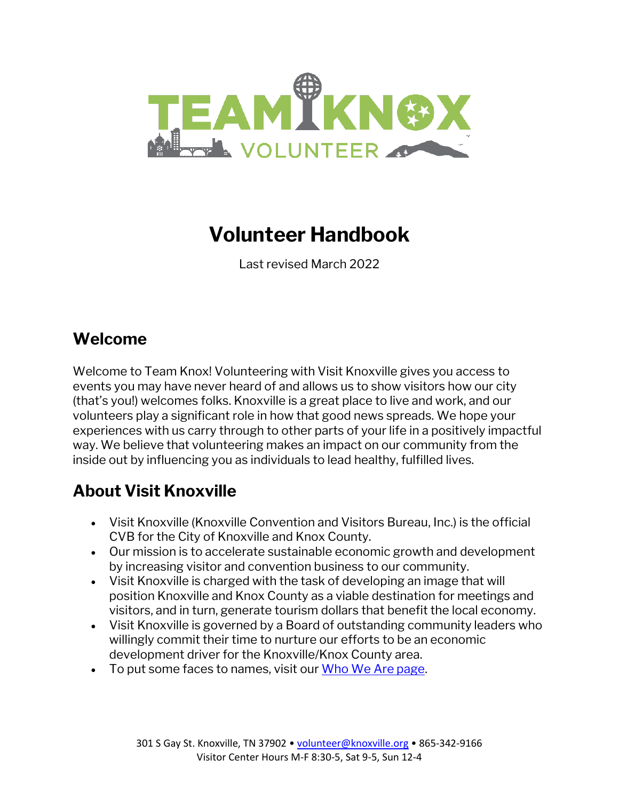

# **Volunteer Handbook**

Last revised March 2022

#### **Welcome**

Welcome to Team Knox! Volunteering with Visit Knoxville gives you access to events you may have never heard of and allows us to show visitors how our city (that's you!) welcomes folks. Knoxville is a great place to live and work, and our volunteers play a significant role in how that good news spreads. We hope your experiences with us carry through to other parts of your life in a positively impactful way. We believe that volunteering makes an impact on our community from the inside out by influencing you as individuals to lead healthy, fulfilled lives.

### **About Visit Knoxville**

- Visit Knoxville (Knoxville Convention and Visitors Bureau, Inc.) is the official CVB for the City of Knoxville and Knox County.
- Our mission is to accelerate sustainable economic growth and development by increasing visitor and convention business to our community.
- Visit Knoxville is charged with the task of developing an image that will position Knoxville and Knox County as a viable destination for meetings and visitors, and in turn, generate tourism dollars that benefit the local economy.
- Visit Knoxville is governed by a Board of outstanding community leaders who willingly commit their time to nurture our efforts to be an economic development driver for the Knoxville/Knox County area.
- To put some faces to names, visit our [Who We Are page.](https://www.visitknoxville.com/about/who-we-are/)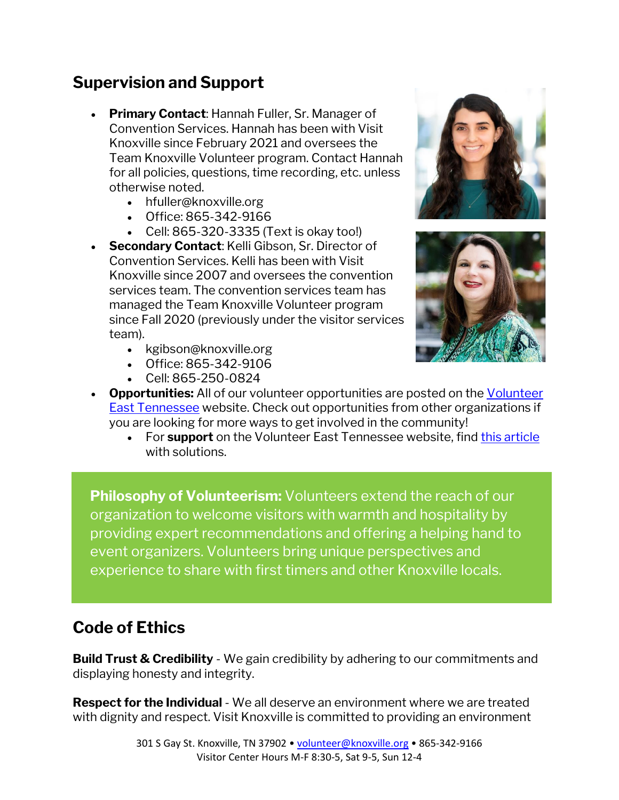#### **Supervision and Support**

- **Primary Contact**: Hannah Fuller, Sr. Manager of Convention Services. Hannah has been with Visit Knoxville since February 2021 and oversees the Team Knoxville Volunteer program. Contact Hannah for all policies, questions, time recording, etc. unless otherwise noted.
	- [hfuller@knoxville.org](mailto:hfuller@knoxville.org)
	- Office: 865-342-9166
	- Cell: 865-320-3335 (Text is okay too!)
- **Secondary Contact**: Kelli Gibson, Sr. Director of Convention Services. Kelli has been with Visit Knoxville since 2007 and oversees the convention services team. The convention services team has managed the Team Knoxville Volunteer program since Fall 2020 (previously under the visitor services team).
	- [kgibson@knoxville.org](mailto:kgibson@knoxville.org)
	- Office: 865-342-9106
	- Cell: 865-250-0824





- **Opportunities:** All of our volunteer opportunities are posted on the [Volunteer](https://volunteeretn.galaxydigital.com/agency/detail/TeamKnoxVols/)  [East Tennessee](https://volunteeretn.galaxydigital.com/agency/detail/TeamKnoxVols/) website. Check out opportunities from other organizations if you are looking for more ways to get involved in the community!
	- For **support** on the Volunteer East Tennessee website, fin[d this article](https://galaxydigital.freshdesk.com/support/solutions/36000096780) with solutions.

**Philosophy of Volunteerism:** Volunteers extend the reach of our organization to welcome visitors with warmth and hospitality by providing expert recommendations and offering a helping hand to event organizers. Volunteers bring unique perspectives and experience to share with first timers and other Knoxville locals.

#### **Code of Ethics**

**Build Trust & Credibility** - We gain credibility by adhering to our commitments and displaying honesty and integrity.

**Respect for the Individual** - We all deserve an environment where we are treated with dignity and respect. Visit Knoxville is committed to providing an environment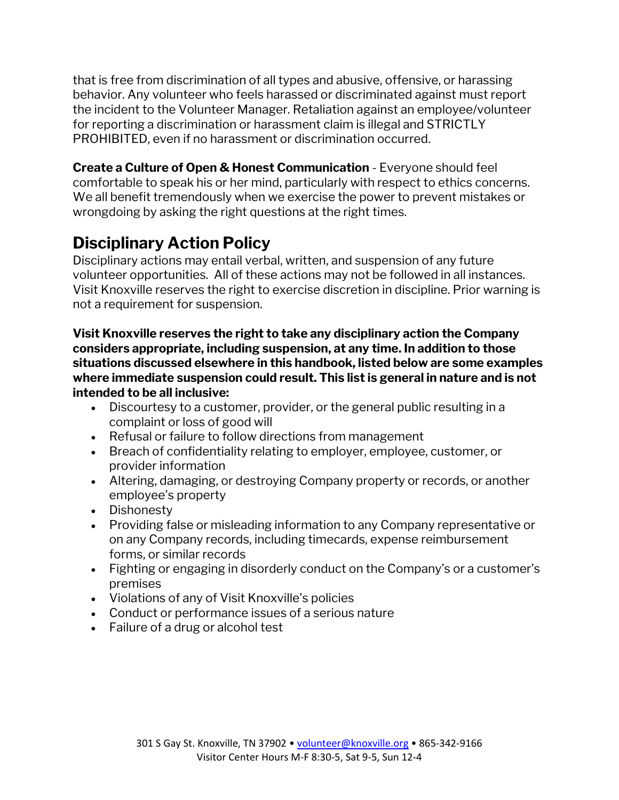that is free from discrimination of all types and abusive, offensive, or harassing behavior. Any volunteer who feels harassed or discriminated against must report the incident to the Volunteer Manager. Retaliation against an employee/volunteer for reporting a discrimination or harassment claim is illegal and STRICTLY PROHIBITED, even if no harassment or discrimination occurred.

**Create a Culture of Open & Honest Communication** - Everyone should feel comfortable to speak his or her mind, particularly with respect to ethics concerns. We all benefit tremendously when we exercise the power to prevent mistakes or wrongdoing by asking the right questions at the right times.

### **Disciplinary Action Policy**

Disciplinary actions may entail verbal, written, and suspension of any future volunteer opportunities. All of these actions may not be followed in all instances. Visit Knoxville reserves the right to exercise discretion in discipline. Prior warning is not a requirement for suspension.

#### **Visit Knoxville reserves the right to take any disciplinary action the Company considers appropriate, including suspension, at any time. In addition to those situations discussed elsewhere in this handbook, listed below are some examples where immediate suspension could result. This list is general in nature and is not intended to be all inclusive:**

- Discourtesy to a customer, provider, or the general public resulting in a complaint or loss of good will
- Refusal or failure to follow directions from management
- Breach of confidentiality relating to employer, employee, customer, or provider information
- Altering, damaging, or destroying Company property or records, or another employee's property
- Dishonesty
- Providing false or misleading information to any Company representative or on any Company records, including timecards, expense reimbursement forms, or similar records
- Fighting or engaging in disorderly conduct on the Company's or a customer's premises
- Violations of any of Visit Knoxville's policies
- Conduct or performance issues of a serious nature
- Failure of a drug or alcohol test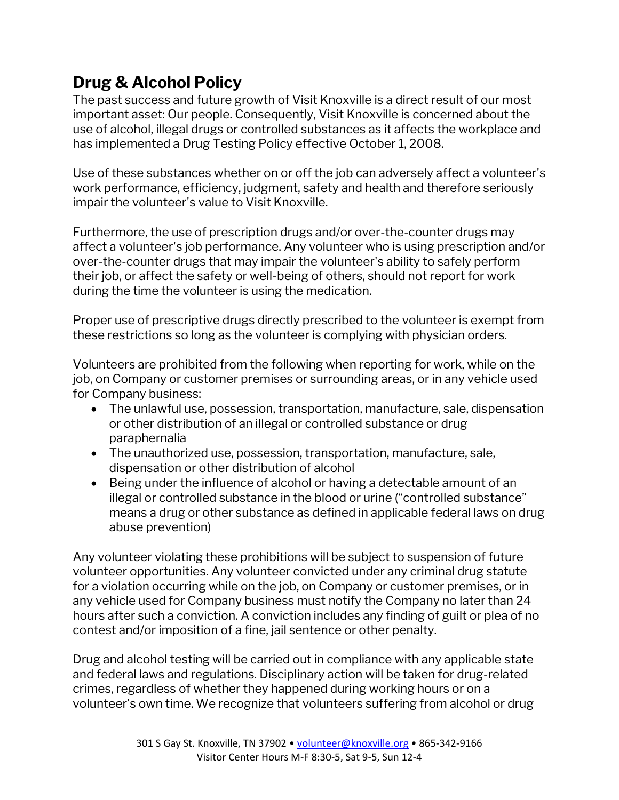## **Drug & Alcohol Policy**

The past success and future growth of Visit Knoxville is a direct result of our most important asset: Our people. Consequently, Visit Knoxville is concerned about the use of alcohol, illegal drugs or controlled substances as it affects the workplace and has implemented a Drug Testing Policy effective October 1, 2008.

Use of these substances whether on or off the job can adversely affect a volunteer's work performance, efficiency, judgment, safety and health and therefore seriously impair the volunteer's value to Visit Knoxville.

Furthermore, the use of prescription drugs and/or over-the-counter drugs may affect a volunteer's job performance. Any volunteer who is using prescription and/or over-the-counter drugs that may impair the volunteer's ability to safely perform their job, or affect the safety or well-being of others, should not report for work during the time the volunteer is using the medication.

Proper use of prescriptive drugs directly prescribed to the volunteer is exempt from these restrictions so long as the volunteer is complying with physician orders.

Volunteers are prohibited from the following when reporting for work, while on the job, on Company or customer premises or surrounding areas, or in any vehicle used for Company business:

- The unlawful use, possession, transportation, manufacture, sale, dispensation or other distribution of an illegal or controlled substance or drug paraphernalia
- The unauthorized use, possession, transportation, manufacture, sale, dispensation or other distribution of alcohol
- Being under the influence of alcohol or having a detectable amount of an illegal or controlled substance in the blood or urine ("controlled substance" means a drug or other substance as defined in applicable federal laws on drug abuse prevention)

Any volunteer violating these prohibitions will be subject to suspension of future volunteer opportunities. Any volunteer convicted under any criminal drug statute for a violation occurring while on the job, on Company or customer premises, or in any vehicle used for Company business must notify the Company no later than 24 hours after such a conviction. A conviction includes any finding of guilt or plea of no contest and/or imposition of a fine, jail sentence or other penalty.

Drug and alcohol testing will be carried out in compliance with any applicable state and federal laws and regulations. Disciplinary action will be taken for drug-related crimes, regardless of whether they happened during working hours or on a volunteer's own time. We recognize that volunteers suffering from alcohol or drug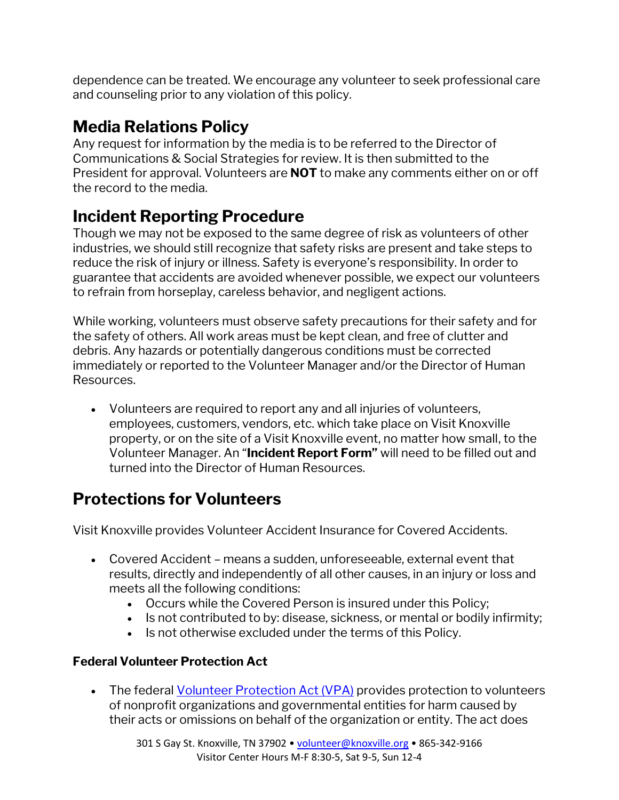dependence can be treated. We encourage any volunteer to seek professional care and counseling prior to any violation of this policy.

## **Media Relations Policy**

Any request for information by the media is to be referred to the Director of Communications & Social Strategies for review. It is then submitted to the President for approval. Volunteers are **NOT** to make any comments either on or off the record to the media.

## **Incident Reporting Procedure**

Though we may not be exposed to the same degree of risk as volunteers of other industries, we should still recognize that safety risks are present and take steps to reduce the risk of injury or illness. Safety is everyone's responsibility. In order to guarantee that accidents are avoided whenever possible, we expect our volunteers to refrain from horseplay, careless behavior, and negligent actions.

While working, volunteers must observe safety precautions for their safety and for the safety of others. All work areas must be kept clean, and free of clutter and debris. Any hazards or potentially dangerous conditions must be corrected immediately or reported to the Volunteer Manager and/or the Director of Human Resources.

• Volunteers are required to report any and all injuries of volunteers, employees, customers, vendors, etc. which take place on Visit Knoxville property, or on the site of a Visit Knoxville event, no matter how small, to the Volunteer Manager. An "**Incident Report Form"** will need to be filled out and turned into the Director of Human Resources.

## **Protections for Volunteers**

Visit Knoxville provides Volunteer Accident Insurance for Covered Accidents.

- Covered Accident means a sudden, unforeseeable, external event that results, directly and independently of all other causes, in an injury or loss and meets all the following conditions:
	- Occurs while the Covered Person is insured under this Policy;
	- Is not contributed to by: disease, sickness, or mental or bodily infirmity;
	- Is not otherwise excluded under the terms of this Policy.

#### **Federal Volunteer Protection Act**

• The federa[l Volunteer Protection Act \(VPA\)](https://www.govinfo.gov/content/pkg/PLAW-105publ19/pdf/PLAW-105publ19.pdf) provides protection to volunteers of nonprofit organizations and governmental entities for harm caused by their acts or omissions on behalf of the organization or entity. The act does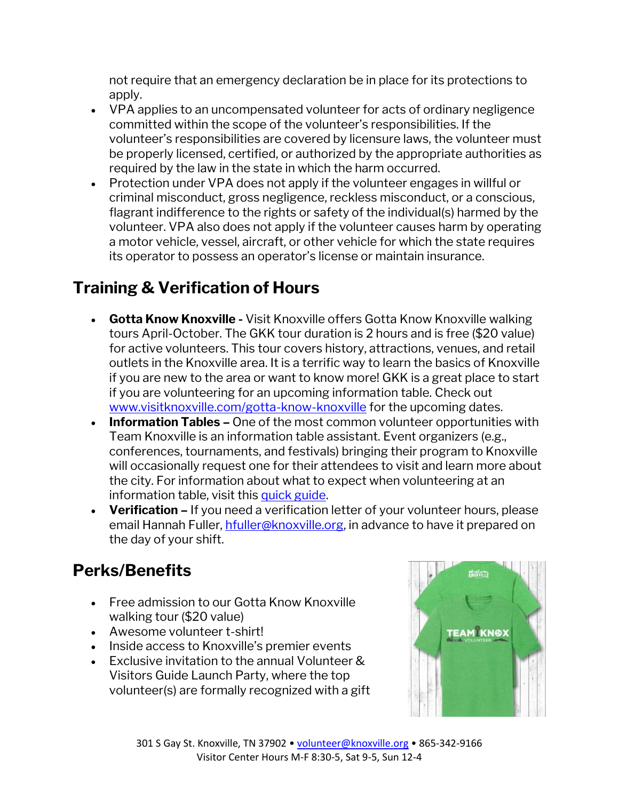not require that an emergency declaration be in place for its protections to apply.

- VPA applies to an uncompensated volunteer for acts of ordinary negligence committed within the scope of the volunteer's responsibilities. If the volunteer's responsibilities are covered by licensure laws, the volunteer must be properly licensed, certified, or authorized by the appropriate authorities as required by the law in the state in which the harm occurred.
- Protection under VPA does not apply if the volunteer engages in willful or criminal misconduct, gross negligence, reckless misconduct, or a conscious, flagrant indifference to the rights or safety of the individual(s) harmed by the volunteer. VPA also does not apply if the volunteer causes harm by operating a motor vehicle, vessel, aircraft, or other vehicle for which the state requires its operator to possess an operator's license or maintain insurance.

### **Training & Verification of Hours**

- **Gotta Know Knoxville -** Visit Knoxville offers Gotta Know Knoxville walking tours April-October. The GKK tour duration is 2 hours and is free (\$20 value) for active volunteers. This tour covers history, attractions, venues, and retail outlets in the Knoxville area. It is a terrific way to learn the basics of Knoxville if you are new to the area or want to know more! GKK is a great place to start if you are volunteering for an upcoming information table. Check out [www.visitknoxville.com/gotta-know-knoxville](http://www.visitknoxville.com/gotta-know-knoxville) for the upcoming dates.
- **Information Tables –** One of the most common volunteer opportunities with Team Knoxville is an information table assistant. Event organizers (e.g., conferences, tournaments, and festivals) bringing their program to Knoxville will occasionally request one for their attendees to visit and learn more about the city. For information about what to expect when volunteering at an information table, visit this [quick guide.](https://assets.simpleviewinc.com/simpleview/image/upload/v1/clients/knoxville/Team_Knoxville_Information_Table_Basics_6c1b576d-628c-4707-9be7-342baa9c9d64.pdf)
- **Verification –** If you need a verification letter of your volunteer hours, please email Hannah Fuller, [hfuller@knoxville.org,](mailto:hfuller@knoxville.org) in advance to have it prepared on the day of your shift.

## **Perks/Benefits**

- Free admission to our Gotta Know Knoxville walking tour (\$20 value)
- Awesome volunteer t-shirt!
- Inside access to Knoxville's premier events
- Exclusive invitation to the annual Volunteer & Visitors Guide Launch Party, where the top volunteer(s) are formally recognized with a gift